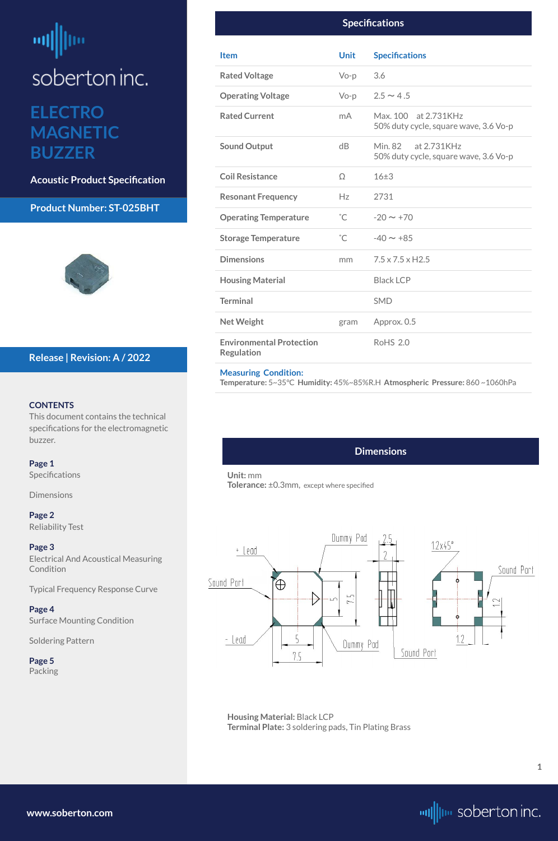<span id="page-0-0"></span>**ELECTRO MAGNETIC BUZZER**

**Acoustic Product Specification**

#### **Product Number: ST-025BHT**



#### **CONTENTS**

[Electrical And Acoustical Measuring](#page-2-0)  **[Condition](#page-2-0)** 

This document contains the technical specifications for the electromagnetic buzzer.

#### **Page 1**

Specifications

Dimensions

**[Page 2](#page-1-0)** [Reliability Test](#page-1-0)

#### **[Page 3](#page-2-0)**

[Typical Frequency Response Curve](#page-2-0)

**[Page 4](#page-3-0)** [Surface Mounting Condition](#page-3-0)

#### [Soldering Pattern](#page-3-0)

**[Page 5](#page-4-0)** [Packing](#page-4-0)

#### **Release | Revision: A / 2022**

| <b>Specifications</b>                                |              |                                                                 |
|------------------------------------------------------|--------------|-----------------------------------------------------------------|
| <b>Item</b>                                          | <b>Unit</b>  | <b>Specifications</b>                                           |
| <b>Rated Voltage</b>                                 | $Vo-p$       | 3.6                                                             |
| <b>Operating Voltage</b>                             | $Vo-p$       | $2.5 \sim 4.5$                                                  |
| <b>Rated Current</b>                                 | mA           | Max. 100 at 2.731KHz<br>50% duty cycle, square wave, 3.6 Vo-p   |
| <b>Sound Output</b>                                  | dB           | at 2.731KHz<br>Min. 82<br>50% duty cycle, square wave, 3.6 Vo-p |
| <b>Coil Resistance</b>                               | $\Omega$     | $16\pm3$                                                        |
| <b>Resonant Frequency</b>                            | Hz           | 2731                                                            |
| <b>Operating Temperature</b>                         | $^{\circ}$ C | $-20 \sim +70$                                                  |
| <b>Storage Temperature</b>                           | $^{\circ}$ C | $-40 \sim +85$                                                  |
| <b>Dimensions</b>                                    | mm           | $7.5 \times 7.5 \times$ H2.5                                    |
| <b>Housing Material</b>                              |              | <b>Black LCP</b>                                                |
| <b>Terminal</b>                                      |              | <b>SMD</b>                                                      |
| <b>Net Weight</b>                                    | gram         | Approx. 0.5                                                     |
| <b>Environmental Protection</b><br><b>Regulation</b> |              | <b>RoHS 2.0</b>                                                 |

#### **Measuring Condition:**

**Temperature:** 5~35°C **Humidity:** 45%~85%R.H **Atmospheric Pressure:** 860 ~1060hPa

**[www.soberton.com](http://www.soberton.com)**



**1**

#### **Dimensions**

**Unit:** mm **Tolerance:** ±0.3mm, except where specified



**Housing Material:** Black LCP **Terminal Plate:** 3 soldering pads, Tin Plating Brass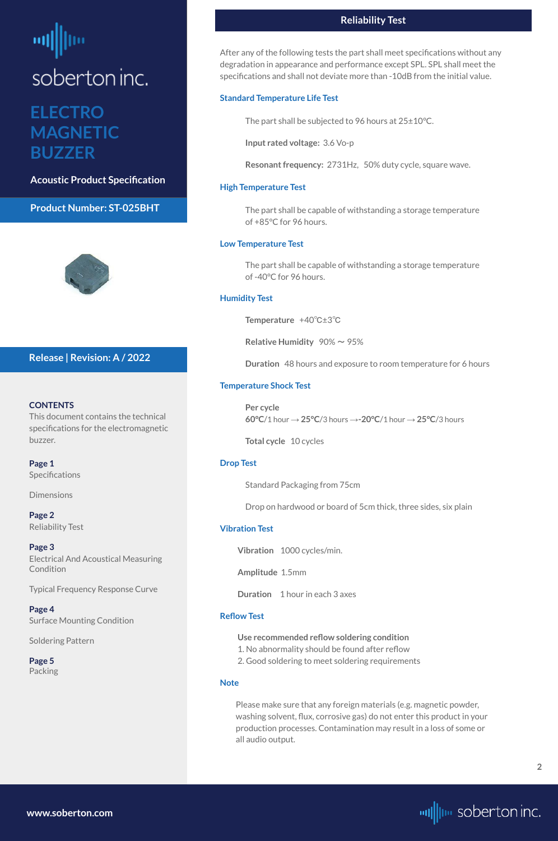### <span id="page-1-0"></span>**ELECTRO MAGNETIC BUZZER**

**Acoustic Product Specification**

#### **Product Number: ST-025BHT**



#### **CONTENTS**

**[Page 1](#page-0-0) Specifications** 

**[Page 3](#page-2-0)** [Electrical And Acoustical Measuring](#page-2-0)  **[Condition](#page-2-0)** 

This document contains the technical specifications for the electromagnetic buzzer.

[Dimensions](#page-0-0)

**Page 2** Reliability Test

[Typical Frequency Response Curve](#page-2-0)

**[Page 4](#page-3-0)** [Surface Mounting Condition](#page-3-0)

#### [Soldering Pattern](#page-3-0)

**[Page 5](#page-4-0)** [Packing](#page-4-0)

#### **Release | Revision: A / 2022**

**[www.soberton.com](http://www.soberton.com)**



#### **Reliability Test**

After any of the following tests the part shall meet specifications without any degradation in appearance and performance except SPL. SPL shall meet the specifications and shall not deviate more than -10dB from the initial value.

#### **Standard Temperature Life Test**

The part shall be subjected to 96 hours at 25±10°C.

**Input rated voltage:** 3.6 Vo-p

**Resonant frequency:** 2731Hz, 50% duty cycle, square wave.

#### **High Temperature Test**

The part shall be capable of withstanding a storage temperature of +85°C for 96 hours.

#### **Low Temperature Test**

The part shall be capable of withstanding a storage temperature of -40°C for 96 hours.

#### **Humidity Test**

**Temperature** +40℃±3℃

**Relative Humidity** 90% ~ 95%

**Duration** 48 hours and exposure to room temperature for 6 hours

#### **Temperature Shock Test**

**Per cycle 60°C**/1 hour → **25°C**/3 hours →**-20°C**/1 hour → **25°C**/3 hours

**Total cycle** 10 cycles

#### **Drop Test**

Standard Packaging from 75cm

Drop on hardwood or board of 5cm thick, three sides, six plain

#### **Vibration Test**

**Vibration** 1000 cycles/min.

**Amplitude** 1.5mm

**Duration** 1 hour in each 3 axes

#### **Reflow Test**

**Use recommended reflow soldering condition** 1. No abnormality should be found after reflow 2. Good soldering to meet soldering requirements

#### **Note**

Please make sure that any foreign materials (e.g. magnetic powder, washing solvent, flux, corrosive gas) do not enter this product in your production processes. Contamination may result in a loss of some or all audio output.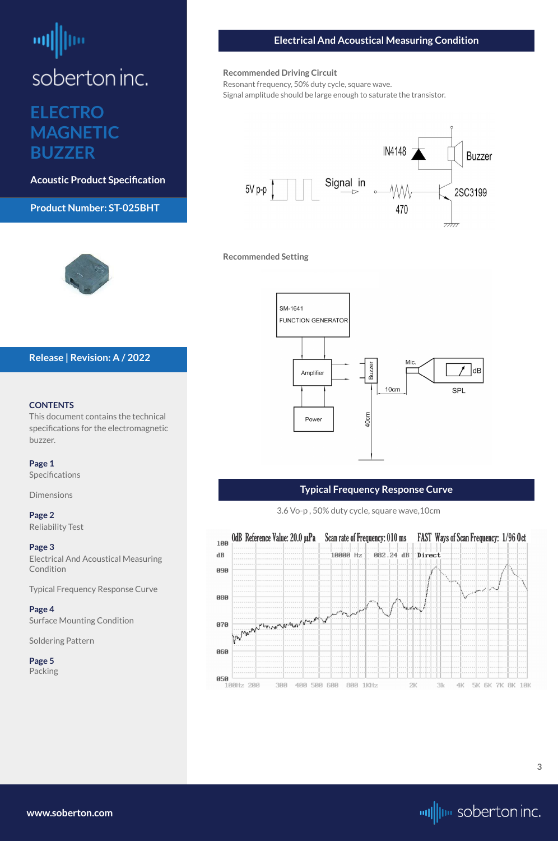### <span id="page-2-0"></span>**ELECTRO MAGNETIC BUZZER**

**Acoustic Product Specification**

**Product Number: ST-025BHT**

#### **CONTENTS**

Electrical And Acoustical Measuring **Condition** 

This document contains the technical specifications for the electromagnetic buzzer.

#### **[Page 1](#page-0-0)**

[Specifications](#page-0-0) 

[Dimensions](#page-0-0)

#### **[Page 2](#page-1-0)**

[Reliability Test](#page-1-0)

#### **Page 3**

Typical Frequency Response Curve

**[Page 4](#page-3-0)** [Surface Mounting Condition](#page-3-0)

#### [Soldering Pattern](#page-3-0)

**[Page 5](#page-4-0)** [Packing](#page-4-0)

#### **Release | Revision: A / 2022**

**[www.soberton.com](http://www.soberton.com)**



#### **Electrical And Acoustical Measuring Condition**

#### **Recommended Driving Circuit**

Resonant frequency, 50% duty cycle, square wave. Signal amplitude should be large enough to saturate the transistor.



**Recommended Setting**





#### **Typical Frequency Response Curve**

3.6 Vo-p , 50% duty cycle, square wave,10cm

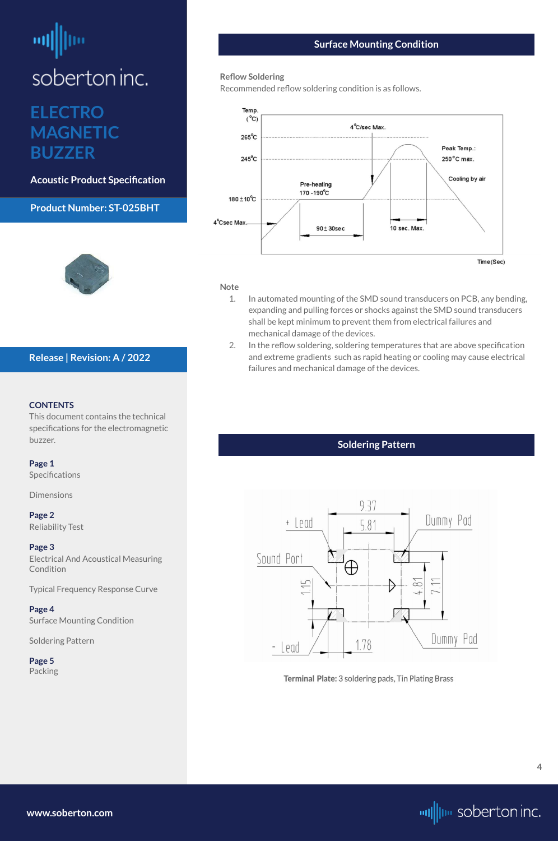### <span id="page-3-0"></span>**ELECTRO MAGNETIC BUZZER**

**Acoustic Product Specification**

#### **Product Number: ST-025BHT**



#### **CONTENTS**

[Electrical And Acoustical Measuring](#page-2-0)  **[Condition](#page-2-0)** 

This document contains the technical specifications for the electromagnetic buzzer.

#### **[Page 1](#page-0-0)**

[Specifications](#page-0-0) 

[Dimensions](#page-0-0)

#### **[Page 2](#page-1-0)** [Reliability Test](#page-1-0)

#### **[Page 3](#page-2-0)**

[Typical Frequency Response Curve](#page-2-0)

#### **Page 4** Surface Mounting Condition



**[Page 5](#page-4-0)** [Packing](#page-4-0)





Terminal Plate: 3 soldering pads, Tin Plating Brass

#### **Release | Revision: A / 2022**

#### **Surface Mounting Condition**

#### **Reflow Soldering**

Recommended reflow soldering condition is as follows.



#### **Note**

- 1. In automated mounting of the SMD sound transducers on PCB, any bending, expanding and pulling forces or shocks against the SMD sound transducers shall be kept minimum to prevent them from electrical failures and mechanical damage of the devices.
- 2. In the reflow soldering, soldering temperatures that are above specification and extreme gradients such as rapid heating or cooling may cause electrical failures and mechanical damage of the devices.

**[www.soberton.com](http://www.soberton.com)**



**4**

#### **Soldering Pattern**